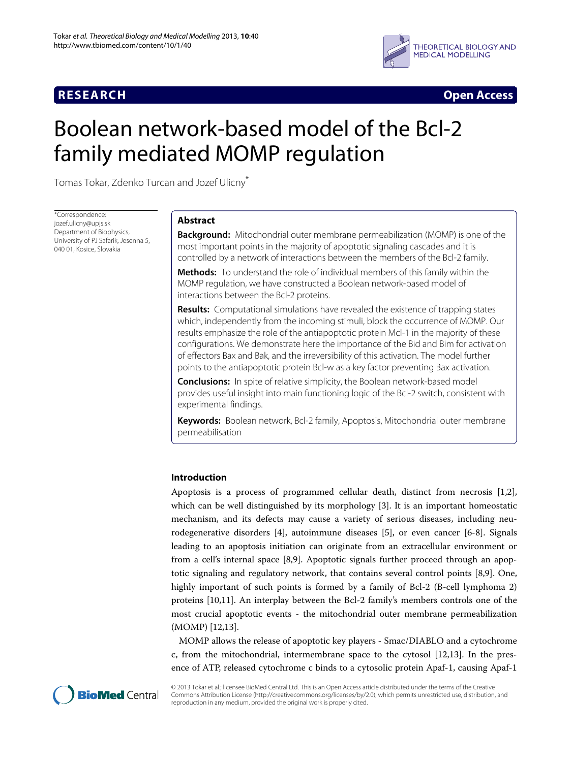

**RESEARCH Open Access**

# Boolean network-based model of the Bcl-2 family mediated MOMP regulation

Tomas Tokar, Zdenko Turcan and Jozef Ulicny\*

\*Correspondence: jozef.ulicny@upjs.sk Department of Biophysics, University of PJ Safarik, Jesenna 5, 040 01, Kosice, Slovakia

### **Abstract**

**Background:** Mitochondrial outer membrane permeabilization (MOMP) is one of the most important points in the majority of apoptotic signaling cascades and it is controlled by a network of interactions between the members of the Bcl-2 family.

**Methods:** To understand the role of individual members of this family within the MOMP regulation, we have constructed a Boolean network-based model of interactions between the Bcl-2 proteins.

**Results:** Computational simulations have revealed the existence of trapping states which, independently from the incoming stimuli, block the occurrence of MOMP. Our results emphasize the role of the antiapoptotic protein Mcl-1 in the majority of these configurations. We demonstrate here the importance of the Bid and Bim for activation of effectors Bax and Bak, and the irreversibility of this activation. The model further points to the antiapoptotic protein Bcl-w as a key factor preventing Bax activation.

**Conclusions:** In spite of relative simplicity, the Boolean network-based model provides useful insight into main functioning logic of the Bcl-2 switch, consistent with experimental findings.

**Keywords:** Boolean network, Bcl-2 family, Apoptosis, Mitochondrial outer membrane permeabilisation

### **Introduction**

Apoptosis is a process of programmed cellular death, distinct from necrosis [\[1,](#page-12-0)[2\]](#page-12-1), which can be well distinguished by its morphology [\[3\]](#page-12-2). It is an important homeostatic mechanism, and its defects may cause a variety of serious diseases, including neurodegenerative disorders [\[4\]](#page-12-3), autoimmune diseases [\[5\]](#page-12-4), or even cancer [\[6](#page-12-5)[-8\]](#page-12-6). Signals leading to an apoptosis initiation can originate from an extracellular environment or from a cell's internal space [\[8,](#page-12-6)[9\]](#page-12-7). Apoptotic signals further proceed through an apoptotic signaling and regulatory network, that contains several control points [\[8,](#page-12-6)[9\]](#page-12-7). One, highly important of such points is formed by a family of Bcl-2 (B-cell lymphoma 2) proteins [\[10](#page-12-8)[,11\]](#page-12-9). An interplay between the Bcl-2 family's members controls one of the most crucial apoptotic events - the mitochondrial outer membrane permeabilization (MOMP) [\[12](#page-12-10)[,13\]](#page-12-11).

MOMP allows the release of apoptotic key players - Smac/DIABLO and a cytochrome c, from the mitochondrial, intermembrane space to the cytosol [\[12,](#page-12-10)[13\]](#page-12-11). In the presence of ATP, released cytochrome c binds to a cytosolic protein Apaf-1, causing Apaf-1



© 2013 Tokar et al.; licensee BioMed Central Ltd. This is an Open Access article distributed under the terms of the Creative Commons Attribution License (http://creativecommons.org/licenses/by/2.0), which permits unrestricted use, distribution, and reproduction in any medium, provided the original work is properly cited.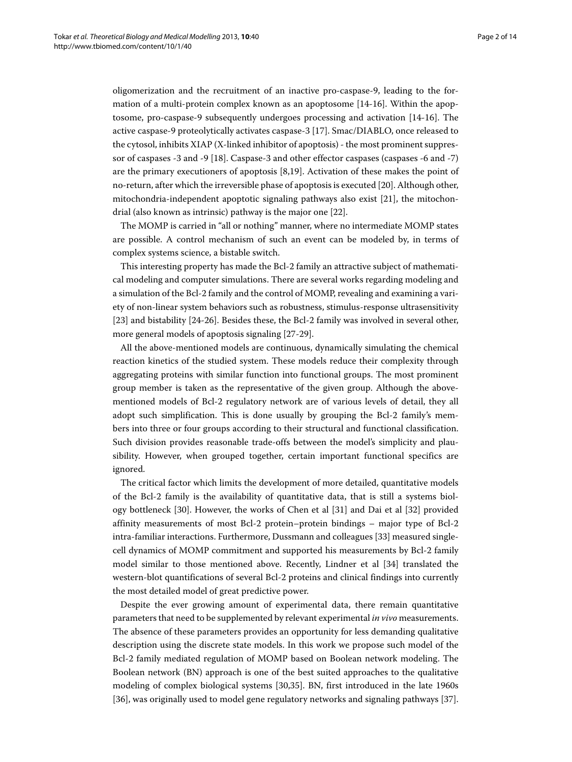oligomerization and the recruitment of an inactive pro-caspase-9, leading to the formation of a multi-protein complex known as an apoptosome [\[14](#page-12-12)[-16\]](#page-12-13). Within the apoptosome, pro-caspase-9 subsequently undergoes processing and activation [\[14](#page-12-12)[-16\]](#page-12-13). The active caspase-9 proteolytically activates caspase-3 [\[17\]](#page-12-14). Smac/DIABLO, once released to the cytosol, inhibits XIAP (X-linked inhibitor of apoptosis) - the most prominent suppressor of caspases -3 and -9 [\[18\]](#page-12-15). Caspase-3 and other effector caspases (caspases -6 and -7) are the primary executioners of apoptosis [\[8](#page-12-6)[,19\]](#page-12-16). Activation of these makes the point of no-return, after which the irreversible phase of apoptosis is executed [\[20\]](#page-12-17). Although other, mitochondria-independent apoptotic signaling pathways also exist [\[21\]](#page-12-18), the mitochondrial (also known as intrinsic) pathway is the major one [\[22\]](#page-12-19).

The MOMP is carried in "all or nothing" manner, where no intermediate MOMP states are possible. A control mechanism of such an event can be modeled by, in terms of complex systems science, a bistable switch.

This interesting property has made the Bcl-2 family an attractive subject of mathematical modeling and computer simulations. There are several works regarding modeling and a simulation of the Bcl-2 family and the control of MOMP, revealing and examining a variety of non-linear system behaviors such as robustness, stimulus-response ultrasensitivity [\[23\]](#page-12-20) and bistability [\[24](#page-12-21)[-26\]](#page-12-22). Besides these, the Bcl-2 family was involved in several other, more general models of apoptosis signaling [\[27](#page-12-23)[-29\]](#page-12-24).

All the above-mentioned models are continuous, dynamically simulating the chemical reaction kinetics of the studied system. These models reduce their complexity through aggregating proteins with similar function into functional groups. The most prominent group member is taken as the representative of the given group. Although the abovementioned models of Bcl-2 regulatory network are of various levels of detail, they all adopt such simplification. This is done usually by grouping the Bcl-2 family's members into three or four groups according to their structural and functional classification. Such division provides reasonable trade-offs between the model's simplicity and plausibility. However, when grouped together, certain important functional specifics are ignored.

The critical factor which limits the development of more detailed, quantitative models of the Bcl-2 family is the availability of quantitative data, that is still a systems biology bottleneck [\[30\]](#page-12-25). However, the works of Chen et al [\[31\]](#page-12-26) and Dai et al [\[32\]](#page-12-27) provided affinity measurements of most Bcl-2 protein–protein bindings – major type of Bcl-2 intra-familiar interactions. Furthermore, Dussmann and colleagues [\[33\]](#page-12-28) measured singlecell dynamics of MOMP commitment and supported his measurements by Bcl-2 family model similar to those mentioned above. Recently, Lindner et al [\[34\]](#page-12-29) translated the western-blot quantifications of several Bcl-2 proteins and clinical findings into currently the most detailed model of great predictive power.

Despite the ever growing amount of experimental data, there remain quantitative parameters that need to be supplemented by relevant experimental *in vivo* measurements. The absence of these parameters provides an opportunity for less demanding qualitative description using the discrete state models. In this work we propose such model of the Bcl-2 family mediated regulation of MOMP based on Boolean network modeling. The Boolean network (BN) approach is one of the best suited approaches to the qualitative modeling of complex biological systems [\[30,](#page-12-25)[35\]](#page-12-30). BN, first introduced in the late 1960s [\[36\]](#page-12-31), was originally used to model gene regulatory networks and signaling pathways [\[37\]](#page-12-32).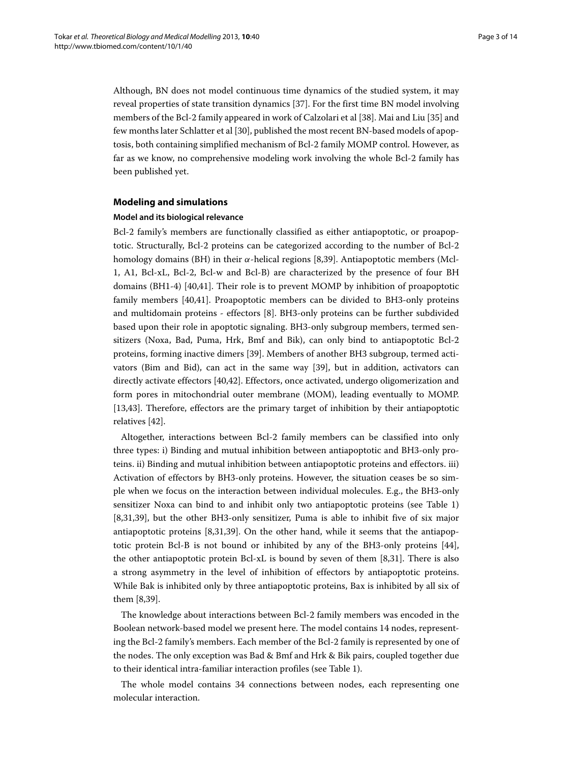Although, BN does not model continuous time dynamics of the studied system, it may reveal properties of state transition dynamics [\[37\]](#page-12-32). For the first time BN model involving members of the Bcl-2 family appeared in work of Calzolari et al [\[38\]](#page-12-33). Mai and Liu [\[35\]](#page-12-30) and few months later Schlatter et al [\[30\]](#page-12-25), published the most recent BN-based models of apoptosis, both containing simplified mechanism of Bcl-2 family MOMP control. However, as far as we know, no comprehensive modeling work involving the whole Bcl-2 family has been published yet.

### **Modeling and simulations**

#### **Model and its biological relevance**

Bcl-2 family's members are functionally classified as either antiapoptotic, or proapoptotic. Structurally, Bcl-2 proteins can be categorized according to the number of Bcl-2 homology domains (BH) in their *α*-helical regions [\[8](#page-12-6)[,39\]](#page-13-0). Antiapoptotic members (Mcl-1, A1, Bcl-xL, Bcl-2, Bcl-w and Bcl-B) are characterized by the presence of four BH domains (BH1-4) [\[40,](#page-13-1)[41\]](#page-13-2). Their role is to prevent MOMP by inhibition of proapoptotic family members [\[40](#page-13-1)[,41\]](#page-13-2). Proapoptotic members can be divided to BH3-only proteins and multidomain proteins - effectors [\[8\]](#page-12-6). BH3-only proteins can be further subdivided based upon their role in apoptotic signaling. BH3-only subgroup members, termed sensitizers (Noxa, Bad, Puma, Hrk, Bmf and Bik), can only bind to antiapoptotic Bcl-2 proteins, forming inactive dimers [\[39\]](#page-13-0). Members of another BH3 subgroup, termed activators (Bim and Bid), can act in the same way [\[39\]](#page-13-0), but in addition, activators can directly activate effectors [\[40](#page-13-1)[,42\]](#page-13-3). Effectors, once activated, undergo oligomerization and form pores in mitochondrial outer membrane (MOM), leading eventually to MOMP. [\[13](#page-12-11)[,43\]](#page-13-4). Therefore, effectors are the primary target of inhibition by their antiapoptotic relatives [\[42\]](#page-13-3).

Altogether, interactions between Bcl-2 family members can be classified into only three types: i) Binding and mutual inhibition between antiapoptotic and BH3-only proteins. ii) Binding and mutual inhibition between antiapoptotic proteins and effectors. iii) Activation of effectors by BH3-only proteins. However, the situation ceases be so simple when we focus on the interaction between individual molecules. E.g., the BH3-only sensitizer Noxa can bind to and inhibit only two antiapoptotic proteins (see Table [1\)](#page-3-0) [\[8](#page-12-6)[,31](#page-12-26)[,39\]](#page-13-0), but the other BH3-only sensitizer, Puma is able to inhibit five of six major antiapoptotic proteins [\[8](#page-12-6)[,31](#page-12-26)[,39\]](#page-13-0). On the other hand, while it seems that the antiapoptotic protein Bcl-B is not bound or inhibited by any of the BH3-only proteins [\[44\]](#page-13-5), the other antiapoptotic protein Bcl-xL is bound by seven of them [\[8,](#page-12-6)[31\]](#page-12-26). There is also a strong asymmetry in the level of inhibition of effectors by antiapoptotic proteins. While Bak is inhibited only by three antiapoptotic proteins, Bax is inhibited by all six of them [\[8,](#page-12-6)[39\]](#page-13-0).

The knowledge about interactions between Bcl-2 family members was encoded in the Boolean network-based model we present here. The model contains 14 nodes, representing the Bcl-2 family's members. Each member of the Bcl-2 family is represented by one of the nodes. The only exception was Bad & Bmf and Hrk & Bik pairs, coupled together due to their identical intra-familiar interaction profiles (see Table [1\)](#page-3-0).

The whole model contains 34 connections between nodes, each representing one molecular interaction.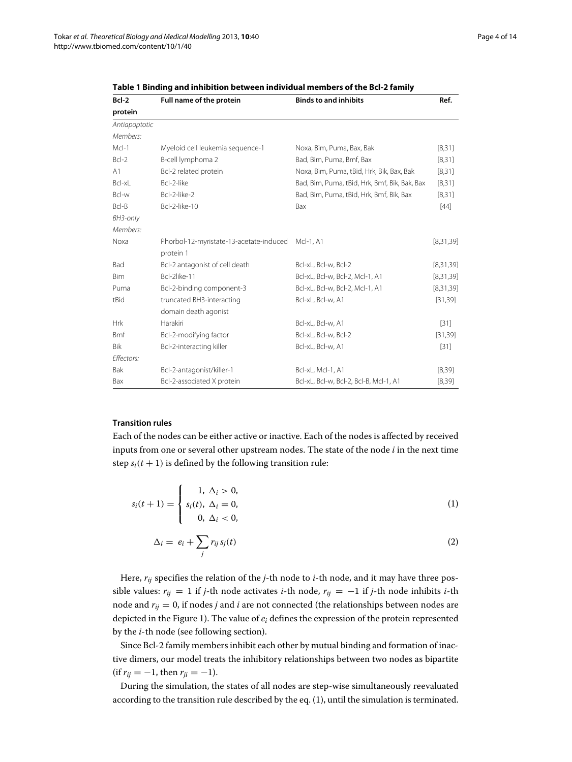| Bcl-2         | Full name of the protein                | <b>Binds to and inhibits</b>                  | Ref.        |
|---------------|-----------------------------------------|-----------------------------------------------|-------------|
| protein       |                                         |                                               |             |
| Antiapoptotic |                                         |                                               |             |
| Members:      |                                         |                                               |             |
| $McI-1$       | Myeloid cell leukemia sequence-1        | Noxa, Bim, Puma, Bax, Bak                     | [8, 31]     |
| $BcI-2$       | B-cell lymphoma 2                       | Bad, Bim, Puma, Bmf, Bax                      | [8, 31]     |
| A1            | Bcl-2 related protein                   | Noxa, Bim, Puma, tBid, Hrk, Bik, Bax, Bak     | [8, 31]     |
| Bcl-xL        | Bcl-2-like                              | Bad, Bim, Puma, tBid, Hrk, Bmf, Bik, Bak, Bax | [8, 31]     |
| Bcl-w         | Bcl-2-like-2                            | Bad, Bim, Puma, tBid, Hrk, Bmf, Bik, Bax      | [8, 31]     |
| Bcl-B         | Bcl-2-like-10                           | Bax                                           | $[44]$      |
| BH3-only      |                                         |                                               |             |
| Members:      |                                         |                                               |             |
| Noxa          | Phorbol-12-myristate-13-acetate-induced | McI-1, A1                                     | [8,31,39]   |
|               | protein 1                               |                                               |             |
| Bad           | Bcl-2 antagonist of cell death          | Bcl-xL, Bcl-w, Bcl-2                          | [8, 31, 39] |
| Bim           | Bcl-2like-11                            | Bcl-xL, Bcl-w, Bcl-2, Mcl-1, A1               | [8, 31, 39] |
| Puma          | Bcl-2-binding component-3               | Bcl-xL, Bcl-w, Bcl-2, Mcl-1, A1               | [8, 31, 39] |
| tBid          | truncated BH3-interacting               | Bcl-xL, Bcl-w, A1                             | [31, 39]    |
|               | domain death agonist                    |                                               |             |
| <b>Hrk</b>    | Harakiri                                | Bcl-xL, Bcl-w, A1                             | $[31]$      |
| <b>Bmf</b>    | Bcl-2-modifying factor                  | Bcl-xL, Bcl-w, Bcl-2                          | [31, 39]    |
| Bik           | Bcl-2-interacting killer                | Bcl-xL, Bcl-w, A1                             | $[31]$      |
| Effectors:    |                                         |                                               |             |
| Bak           | Bcl-2-antagonist/killer-1               | Bcl-xL, Mcl-1, A1                             | [8, 39]     |
| Bax           | Bcl-2-associated X protein              | Bcl-xL, Bcl-w, Bcl-2, Bcl-B, Mcl-1, A1        | [8, 39]     |

<span id="page-3-0"></span>**Table 1 Binding and inhibition between individual members of the Bcl-2 family**

### **Transition rules**

Each of the nodes can be either active or inactive. Each of the nodes is affected by received inputs from one or several other upstream nodes. The state of the node *i* in the next time step  $s_i(t + 1)$  is defined by the following transition rule:

$$
s_i(t+1) = \begin{cases} 1, & \Delta_i > 0, \\ s_i(t), & \Delta_i = 0, \\ 0, & \Delta_i < 0, \end{cases} \tag{1}
$$

<span id="page-3-1"></span>
$$
\Delta_i = e_i + \sum_j r_{ij} s_j(t) \tag{2}
$$

Here, *rij* specifies the relation of the *j*-th node to *i*-th node, and it may have three possible values:  $r_{ij} = 1$  if *j*-th node activates *i*-th node,  $r_{ij} = -1$  if *j*-th node inhibits *i*-th node and  $r_{ij} = 0$ , if nodes *j* and *i* are not connected (the relationships between nodes are depicted in the Figure [1\)](#page-4-0). The value of *ei* defines the expression of the protein represented by the *i*-th node (see following section).

Since Bcl-2 family members inhibit each other by mutual binding and formation of inactive dimers, our model treats the inhibitory relationships between two nodes as bipartite  $(if r_{ii} = -1, then r_{ii} = -1).$ 

During the simulation, the states of all nodes are step-wise simultaneously reevaluated according to the transition rule described by the eq. [\(1\)](#page-3-1), until the simulation is terminated.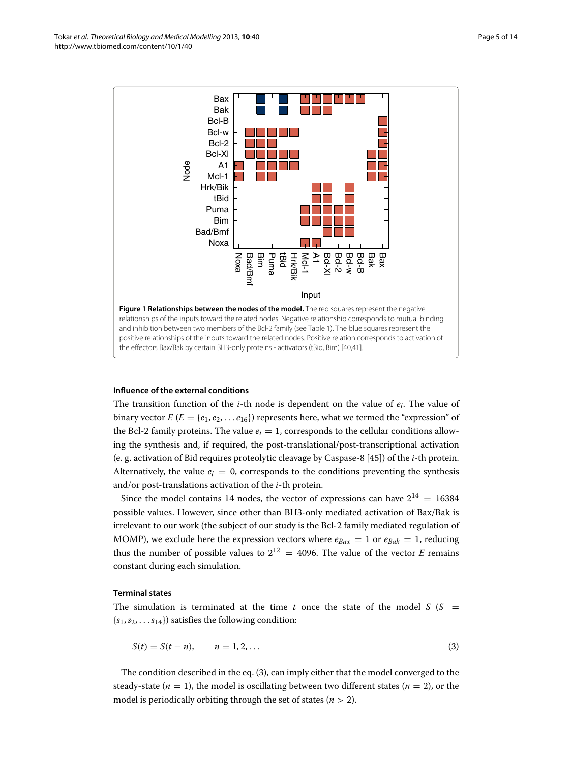

#### <span id="page-4-0"></span>**Influence of the external conditions**

The transition function of the *i*-th node is dependent on the value of *ei*. The value of binary vector  $E(E = \{e_1, e_2, \ldots e_{16}\})$  represents here, what we termed the "expression" of the Bcl-2 family proteins. The value  $e_i = 1$ , corresponds to the cellular conditions allowing the synthesis and, if required, the post-translational/post-transcriptional activation (e. g. activation of Bid requires proteolytic cleavage by Caspase-8 [\[45\]](#page-13-6)) of the *i*-th protein. Alternatively, the value  $e_i = 0$ , corresponds to the conditions preventing the synthesis and/or post-translations activation of the *i*-th protein.

Since the model contains 14 nodes, the vector of expressions can have  $2^{14} = 16384$ possible values. However, since other than BH3-only mediated activation of Bax/Bak is irrelevant to our work (the subject of our study is the Bcl-2 family mediated regulation of MOMP), we exclude here the expression vectors where  $e_{Bax} = 1$  or  $e_{Bak} = 1$ , reducing thus the number of possible values to  $2^{12} = 4096$ . The value of the vector *E* remains constant during each simulation.

#### **Terminal states**

The simulation is terminated at the time  $t$  once the state of the model  $S(S)$  =  ${s_1, s_2, \ldots s_{14}}$ ) satisfies the following condition:

<span id="page-4-1"></span>
$$
S(t) = S(t - n), \qquad n = 1, 2, ... \tag{3}
$$

The condition described in the eq. [\(3\)](#page-4-1), can imply either that the model converged to the steady-state  $(n = 1)$ , the model is oscillating between two different states  $(n = 2)$ , or the model is periodically orbiting through the set of states ( $n > 2$ ).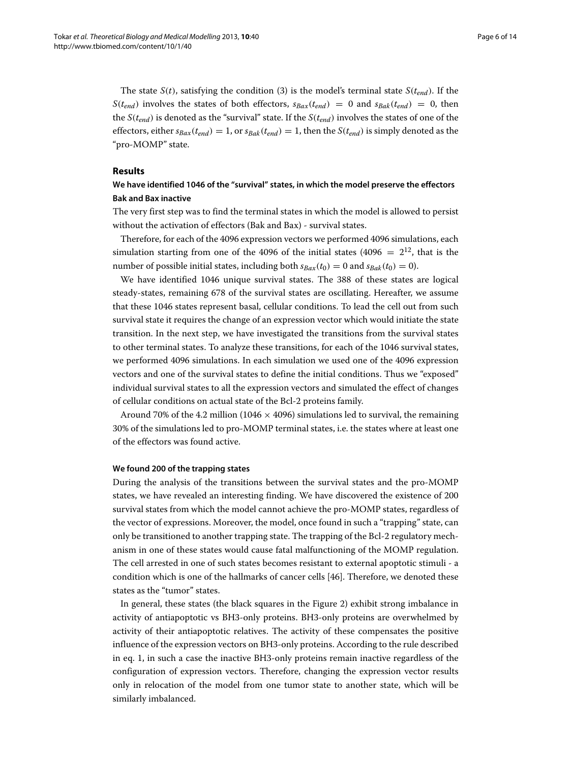The state *S*(*t*), satisfying the condition [\(3\)](#page-4-1) is the model's terminal state *S*( $t_{end}$ ). If the *S*(*t<sub>end</sub>*) involves the states of both effectors,  $s_{Bax}(t_{end}) = 0$  and  $s_{Bak}(t_{end}) = 0$ , then the  $S(t_{end})$  is denoted as the "survival" state. If the  $S(t_{end})$  involves the states of one of the effectors, either  $s_{\text{Bax}}(t_{\text{end}}) = 1$ , or  $s_{\text{Bak}}(t_{\text{end}}) = 1$ , then the  $S(t_{\text{end}})$  is simply denoted as the "pro-MOMP" state.

### **Results**

### **We have identified 1046 of the "survival" states, in which the model preserve the effectors Bak and Bax inactive**

The very first step was to find the terminal states in which the model is allowed to persist without the activation of effectors (Bak and Bax) - survival states.

Therefore, for each of the 4096 expression vectors we performed 4096 simulations, each simulation starting from one of the 4096 of the initial states (4096 =  $2^{12}$ , that is the number of possible initial states, including both  $s_{Bax}(t_0) = 0$  and  $s_{Bak}(t_0) = 0$ ).

We have identified 1046 unique survival states. The 388 of these states are logical steady-states, remaining 678 of the survival states are oscillating. Hereafter, we assume that these 1046 states represent basal, cellular conditions. To lead the cell out from such survival state it requires the change of an expression vector which would initiate the state transition. In the next step, we have investigated the transitions from the survival states to other terminal states. To analyze these transitions, for each of the 1046 survival states, we performed 4096 simulations. In each simulation we used one of the 4096 expression vectors and one of the survival states to define the initial conditions. Thus we "exposed" individual survival states to all the expression vectors and simulated the effect of changes of cellular conditions on actual state of the Bcl-2 proteins family.

Around 70% of the 4.2 million (1046  $\times$  4096) simulations led to survival, the remaining 30% of the simulations led to pro-MOMP terminal states, i.e. the states where at least one of the effectors was found active.

#### **We found 200 of the trapping states**

During the analysis of the transitions between the survival states and the pro-MOMP states, we have revealed an interesting finding. We have discovered the existence of 200 survival states from which the model cannot achieve the pro-MOMP states, regardless of the vector of expressions. Moreover, the model, once found in such a "trapping" state, can only be transitioned to another trapping state. The trapping of the Bcl-2 regulatory mechanism in one of these states would cause fatal malfunctioning of the MOMP regulation. The cell arrested in one of such states becomes resistant to external apoptotic stimuli - a condition which is one of the hallmarks of cancer cells [\[46\]](#page-13-7). Therefore, we denoted these states as the "tumor" states.

In general, these states (the black squares in the Figure [2\)](#page-6-0) exhibit strong imbalance in activity of antiapoptotic vs BH3-only proteins. BH3-only proteins are overwhelmed by activity of their antiapoptotic relatives. The activity of these compensates the positive influence of the expression vectors on BH3-only proteins. According to the rule described in eq. [1,](#page-3-1) in such a case the inactive BH3-only proteins remain inactive regardless of the configuration of expression vectors. Therefore, changing the expression vector results only in relocation of the model from one tumor state to another state, which will be similarly imbalanced.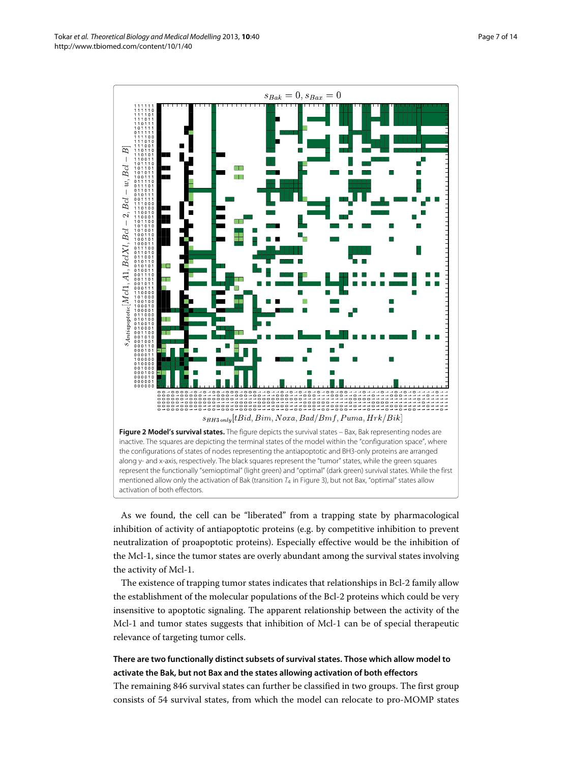

<span id="page-6-0"></span>represent the functionally "semioptimal" (light green) and "optimal" (dark green) survival states. While the first mentioned allow only the activation of Bak (transition  $T_4$  in Figure [3\)](#page-7-0), but not Bax, "optimal" states allow activation of both effectors.

As we found, the cell can be "liberated" from a trapping state by pharmacological inhibition of activity of antiapoptotic proteins (e.g. by competitive inhibition to prevent neutralization of proapoptotic proteins). Especially effective would be the inhibition of the Mcl-1, since the tumor states are overly abundant among the survival states involving the activity of Mcl-1.

The existence of trapping tumor states indicates that relationships in Bcl-2 family allow the establishment of the molecular populations of the Bcl-2 proteins which could be very insensitive to apoptotic signaling. The apparent relationship between the activity of the Mcl-1 and tumor states suggests that inhibition of Mcl-1 can be of special therapeutic relevance of targeting tumor cells.

## **There are two functionally distinct subsets of survival states. Those which allow model to activate the Bak, but not Bax and the states allowing activation of both effectors**

The remaining 846 survival states can further be classified in two groups. The first group consists of 54 survival states, from which the model can relocate to pro-MOMP states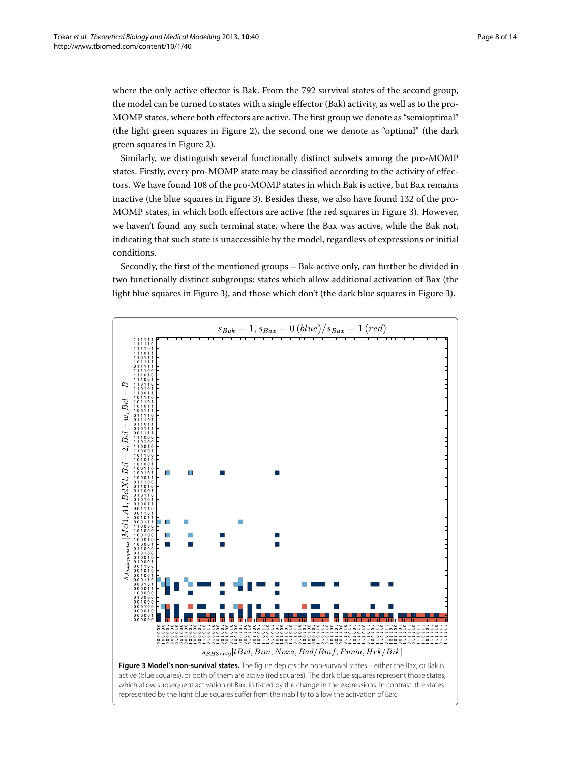where the only active effector is Bak. From the 792 survival states of the second group, the model can be turned to states with a single effector (Bak) activity, as well as to the pro-MOMP states, where both effectors are active. The first group we denote as "semioptimal" (the light green squares in Figure [2\)](#page-6-0), the second one we denote as "optimal" (the dark green squares in Figure [2\)](#page-6-0).

Similarly, we distinguish several functionally distinct subsets among the pro-MOMP states. Firstly, every pro-MOMP state may be classified according to the activity of effectors. We have found 108 of the pro-MOMP states in which Bak is active, but Bax remains inactive (the blue squares in Figure [3\)](#page-7-0). Besides these, we also have found 132 of the pro-MOMP states, in which both effectors are active (the red squares in Figure [3\)](#page-7-0). However, we haven't found any such terminal state, where the Bax was active, while the Bak not, indicating that such state is unaccessible by the model, regardless of expressions or initial conditions.

Secondly, the first of the mentioned groups – Bak-active only, can further be divided in two functionally distinct subgroups: states which allow additional activation of Bax (the light blue squares in Figure [3\)](#page-7-0), and those which don't (the dark blue squares in Figure [3\)](#page-7-0).

<span id="page-7-0"></span>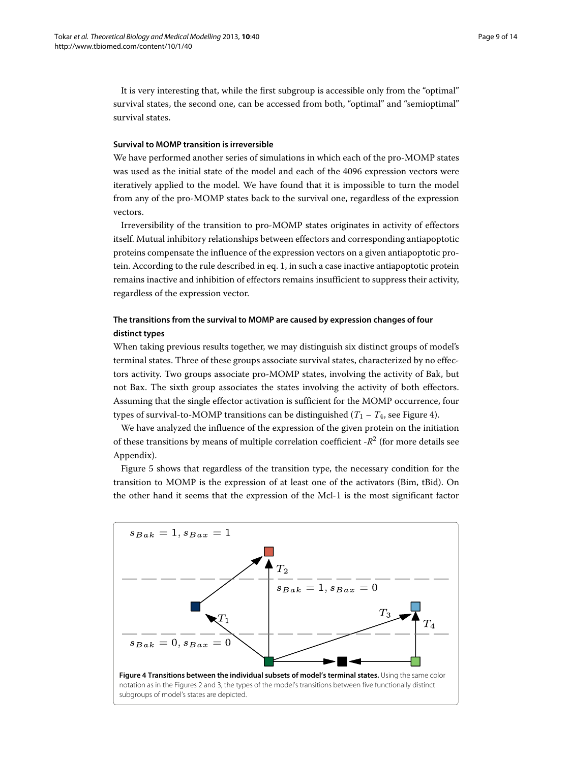It is very interesting that, while the first subgroup is accessible only from the "optimal" survival states, the second one, can be accessed from both, "optimal" and "semioptimal" survival states.

### **Survival to MOMP transition is irreversible**

We have performed another series of simulations in which each of the pro-MOMP states was used as the initial state of the model and each of the 4096 expression vectors were iteratively applied to the model. We have found that it is impossible to turn the model from any of the pro-MOMP states back to the survival one, regardless of the expression vectors.

Irreversibility of the transition to pro-MOMP states originates in activity of effectors itself. Mutual inhibitory relationships between effectors and corresponding antiapoptotic proteins compensate the influence of the expression vectors on a given antiapoptotic protein. According to the rule described in eq. [1,](#page-3-1) in such a case inactive antiapoptotic protein remains inactive and inhibition of effectors remains insufficient to suppress their activity, regardless of the expression vector.

### **The transitions from the survival to MOMP are caused by expression changes of four distinct types**

When taking previous results together, we may distinguish six distinct groups of model's terminal states. Three of these groups associate survival states, characterized by no effectors activity. Two groups associate pro-MOMP states, involving the activity of Bak, but not Bax. The sixth group associates the states involving the activity of both effectors. Assuming that the single effector activation is sufficient for the MOMP occurrence, four types of survival-to-MOMP transitions can be distinguished  $(T_1 - T_4)$ , see Figure [4\)](#page-8-0).

We have analyzed the influence of the expression of the given protein on the initiation of these transitions by means of multiple correlation coefficient -*R*<sup>2</sup> (for more details see [Appendix\)](#page-10-0).

Figure [5](#page-9-0) shows that regardless of the transition type, the necessary condition for the transition to MOMP is the expression of at least one of the activators (Bim, tBid). On the other hand it seems that the expression of the Mcl-1 is the most significant factor

<span id="page-8-0"></span>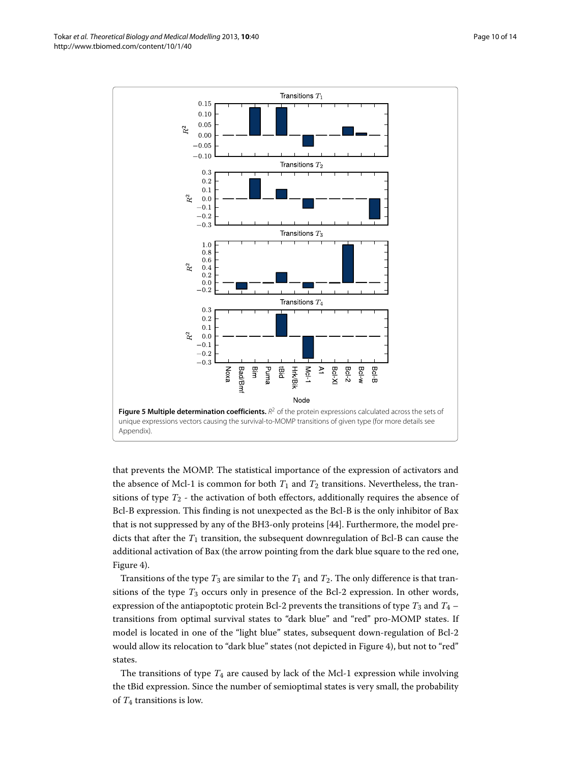Tokar *et al. Theoretical Biology and Medical Modelling* 2013, **10**:40 Page 10 of 14 Page 10 of 14 http://www.tbiomed.com/content/10/1/40



<span id="page-9-0"></span>that prevents the MOMP. The statistical importance of the expression of activators and the absence of Mcl-1 is common for both  $T_1$  and  $T_2$  transitions. Nevertheless, the transitions of type  $T_2$  - the activation of both effectors, additionally requires the absence of Bcl-B expression. This finding is not unexpected as the Bcl-B is the only inhibitor of Bax that is not suppressed by any of the BH3-only proteins [\[44\]](#page-13-5). Furthermore, the model predicts that after the  $T_1$  transition, the subsequent downregulation of Bcl-B can cause the additional activation of Bax (the arrow pointing from the dark blue square to the red one, Figure [4\)](#page-8-0).

Transitions of the type  $T_3$  are similar to the  $T_1$  and  $T_2$ . The only difference is that transitions of the type *T*<sup>3</sup> occurs only in presence of the Bcl-2 expression. In other words, expression of the antiapoptotic protein Bcl-2 prevents the transitions of type  $T_3$  and  $T_4$  – transitions from optimal survival states to "dark blue" and "red" pro-MOMP states. If model is located in one of the "light blue" states, subsequent down-regulation of Bcl-2 would allow its relocation to "dark blue" states (not depicted in Figure [4\)](#page-8-0), but not to "red" states.

The transitions of type *T*<sup>4</sup> are caused by lack of the Mcl-1 expression while involving the tBid expression. Since the number of semioptimal states is very small, the probability of *T*<sup>4</sup> transitions is low.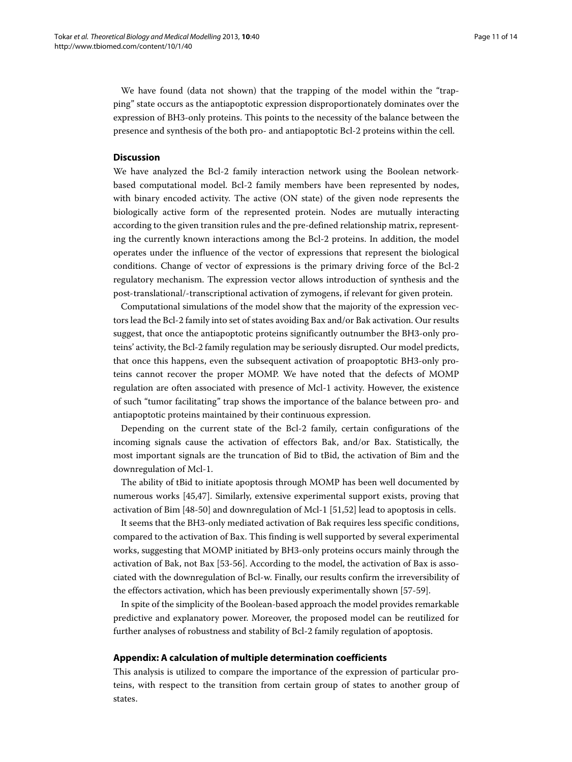We have found (data not shown) that the trapping of the model within the "trapping" state occurs as the antiapoptotic expression disproportionately dominates over the expression of BH3-only proteins. This points to the necessity of the balance between the presence and synthesis of the both pro- and antiapoptotic Bcl-2 proteins within the cell.

### **Discussion**

We have analyzed the Bcl-2 family interaction network using the Boolean networkbased computational model. Bcl-2 family members have been represented by nodes, with binary encoded activity. The active (ON state) of the given node represents the biologically active form of the represented protein. Nodes are mutually interacting according to the given transition rules and the pre-defined relationship matrix, representing the currently known interactions among the Bcl-2 proteins. In addition, the model operates under the influence of the vector of expressions that represent the biological conditions. Change of vector of expressions is the primary driving force of the Bcl-2 regulatory mechanism. The expression vector allows introduction of synthesis and the post-translational/-transcriptional activation of zymogens, if relevant for given protein.

Computational simulations of the model show that the majority of the expression vectors lead the Bcl-2 family into set of states avoiding Bax and/or Bak activation. Our results suggest, that once the antiapoptotic proteins significantly outnumber the BH3-only proteins' activity, the Bcl-2 family regulation may be seriously disrupted. Our model predicts, that once this happens, even the subsequent activation of proapoptotic BH3-only proteins cannot recover the proper MOMP. We have noted that the defects of MOMP regulation are often associated with presence of Mcl-1 activity. However, the existence of such "tumor facilitating" trap shows the importance of the balance between pro- and antiapoptotic proteins maintained by their continuous expression.

Depending on the current state of the Bcl-2 family, certain configurations of the incoming signals cause the activation of effectors Bak, and/or Bax. Statistically, the most important signals are the truncation of Bid to tBid, the activation of Bim and the downregulation of Mcl-1.

The ability of tBid to initiate apoptosis through MOMP has been well documented by numerous works [\[45](#page-13-6)[,47\]](#page-13-8). Similarly, extensive experimental support exists, proving that activation of Bim [\[48](#page-13-9)[-50\]](#page-13-10) and downregulation of Mcl-1 [\[51](#page-13-11)[,52\]](#page-13-12) lead to apoptosis in cells.

It seems that the BH3-only mediated activation of Bak requires less specific conditions, compared to the activation of Bax. This finding is well supported by several experimental works, suggesting that MOMP initiated by BH3-only proteins occurs mainly through the activation of Bak, not Bax [\[53](#page-13-13)[-56\]](#page-13-14). According to the model, the activation of Bax is associated with the downregulation of Bcl-w. Finally, our results confirm the irreversibility of the effectors activation, which has been previously experimentally shown [\[57-](#page-13-15)[59\]](#page-13-16).

In spite of the simplicity of the Boolean-based approach the model provides remarkable predictive and explanatory power. Moreover, the proposed model can be reutilized for further analyses of robustness and stability of Bcl-2 family regulation of apoptosis.

### <span id="page-10-0"></span>**Appendix: A calculation of multiple determination coefficients**

This analysis is utilized to compare the importance of the expression of particular proteins, with respect to the transition from certain group of states to another group of states.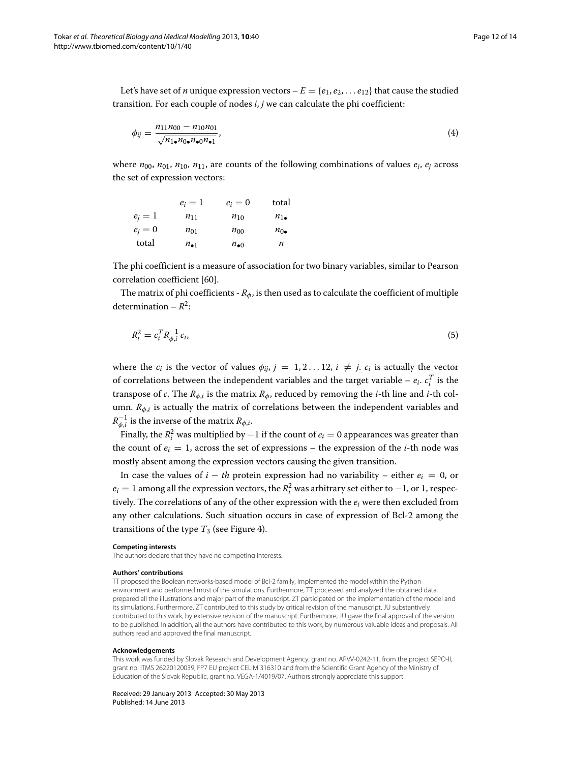Let's have set of *n* unique expression vectors  $-E = \{e_1, e_2, \ldots e_{12}\}$  that cause the studied transition. For each couple of nodes *i*, *j* we can calculate the phi coefficient:

*<sup>φ</sup>ij* <sup>=</sup> *<sup>n</sup>*11*n*<sup>00</sup> <sup>−</sup> *<sup>n</sup>*10*n*<sup>01</sup> <sup>√</sup>*n*1•*n*0•*n*•0*n*•<sup>1</sup> , (4)

where  $n_{00}$ ,  $n_{01}$ ,  $n_{10}$ ,  $n_{11}$ , are counts of the following combinations of values  $e_i$ ,  $e_j$  across the set of expression vectors:

|         | $e_i=1$         | $e_i=0$         | total          |
|---------|-----------------|-----------------|----------------|
| $e_i=1$ | $n_{11}$        | $n_{10}$        | $n_{1\bullet}$ |
| $e_i=0$ | $n_{01}$        | $n_{00}$        | $n_{0\bullet}$ |
| total   | $n_{\bullet 1}$ | $n_{\bullet 0}$ | n              |

The phi coefficient is a measure of association for two binary variables, similar to Pearson correlation coefficient [\[60\]](#page-13-17).

The matrix of phi coefficients -  $R_{\phi}$ , is then used as to calculate the coefficient of multiple determination –  $R^2$ :

$$
R_i^2 = c_i^T R_{\phi,i}^{-1} c_i,
$$
\n(5)

where the  $c_i$  is the vector of values  $\phi_{ij}$ ,  $j = 1, 2...12$ ,  $i \neq j$ .  $c_i$  is actually the vector of correlations between the independent variables and the target variable –  $e_i$ .  $c_i^T$  is the transpose of *c*. The  $R_{\phi,i}$  is the matrix  $R_{\phi}$ , reduced by removing the *i*-th line and *i*-th column.  $R_{\phi,i}$  is actually the matrix of correlations between the independent variables and  $R_{\phi,i}^{-1}$  is the inverse of the matrix  $R_{\phi,i}.$ 

Finally, the  $R_i^2$  was multiplied by  $-1$  if the count of  $e_i = 0$  appearances was greater than the count of  $e_i = 1$ , across the set of expressions – the expression of the *i*-th node was mostly absent among the expression vectors causing the given transition.

In case the values of  $i - th$  protein expression had no variability – either  $e_i = 0$ , or  $e_i = 1$  among all the expression vectors, the  $R_i^2$  was arbitrary set either to  $-1$ , or 1, respectively. The correlations of any of the other expression with the *ei* were then excluded from any other calculations. Such situation occurs in case of expression of Bcl-2 among the transitions of the type  $T_3$  (see Figure [4\)](#page-8-0).

#### **Competing interests**

The authors declare that they have no competing interests.

#### **Authors' contributions**

TT proposed the Boolean networks-based model of Bcl-2 family, implemented the model within the Python environment and performed most of the simulations. Furthermore, TT processed and analyzed the obtained data, prepared all the illustrations and major part of the manuscript. ZT participated on the implementation of the model and its simulations. Furthermore, ZT contributed to this study by critical revision of the manuscript. JU substantively contributed to this work, by extensive revision of the manuscript. Furthermore, JU gave the final approval of the version to be published. In addition, all the authors have contributed to this work, by numerous valuable ideas and proposals. All authors read and approved the final manuscript.

#### **Acknowledgements**

This work was funded by Slovak Research and Development Agency, grant no. APVV-0242-11, from the project SEPO-II, grant no. ITMS 26220120039, FP7 EU project CELIM 316310 and from the Scientific Grant Agency of the Ministry of Education of the Slovak Republic, grant no. VEGA-1/4019/07. Authors strongly appreciate this support.

Received: 29 January 2013 Accepted: 30 May 2013 Published: 14 June 2013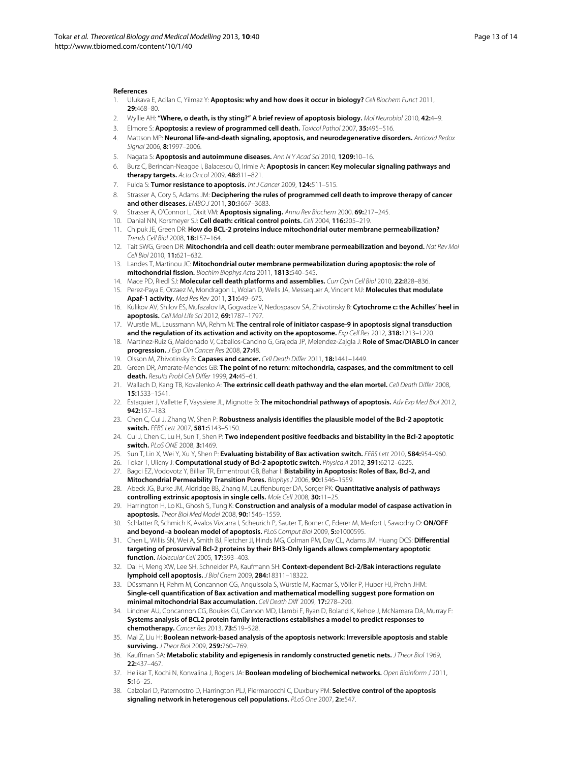#### **References**

- <span id="page-12-0"></span>1. Ulukava E, Acilan C, Yilmaz Y: **Apoptosis: why and how does it occur in biology?** Cell Biochem Funct 2011, **29:**468–80.
- <span id="page-12-1"></span>2. Wyllie AH: **"Where, o death, is thy sting?" A brief review of apoptosis biology.** Mol Neurobiol 2010, **42:**4–9.
- <span id="page-12-2"></span>3. Elmore S: **Apoptosis: a review of programmed cell death.** Toxicol Pathol 2007, **35:**495–516.
- <span id="page-12-3"></span>4. Mattson MP: **Neuronal life-and-death signaling, apoptosis, and neurodegenerative disorders.** Antioxid Redox Signal 2006, **8:**1997–2006.
- <span id="page-12-4"></span>5. Nagata S: **Apoptosis and autoimmune diseases.** Ann N Y Acad Sci 2010, **1209:**10–16.
- <span id="page-12-5"></span>6. Burz C, Berindan-Neagoe I, Balacescu O, Irimie A: **Apoptosis in cancer: Key molecular signaling pathways and therapy targets.** Acta Oncol 2009, **48:**811–821.
- 7. Fulda S: **Tumor resistance to apoptosis.** Int J Cancer 2009, **124:**511–515.
- <span id="page-12-6"></span>8. Strasser A, Cory S, Adams JM: **Deciphering the rules of programmed cell death to improve therapy of cancer and other diseases.** EMBO J 2011, **30:**3667–3683.
- <span id="page-12-7"></span>9. Strasser A, O'Connor L, Dixit VM: **Apoptosis signaling.** Annu Rev Biochem 2000, **69:**217–245.
- <span id="page-12-8"></span>10. Danial NN, Korsmeyer SJ: **Cell death: critical control points.** Cell 2004, **116:**205–219.
- <span id="page-12-9"></span>11. Chipuk JE, Green DR: **How do BCL-2 proteins induce mitochondrial outer membrane permeabilization?** Trends Cell Biol 2008, **18:**157–164.
- <span id="page-12-10"></span>12. Tait SWG, Green DR: **Mitochondria and cell death: outer membrane permeabilization and beyond.** Nat Rev Mol Cell Biol 2010, **11:**621–632.
- <span id="page-12-11"></span>13. Landes T, Martinou JC: **Mitochondrial outer membrane permeabilization during apoptosis: the role of mitochondrial fission.** Biochim Biophys Acta 2011, **1813:**540–545.
- <span id="page-12-12"></span>14. Mace PD, Riedl SJ: **Molecular cell death platforms and assemblies.** Curr Opin Cell Biol 2010, **22:**828–836.
- 15. Perez-Paya E, Orzaez M, Mondragon L, Wolan D, Wells JA, Messequer A, Vincent MJ: **Molecules that modulate Apaf-1 activity.** Med Res Rev 2011, **31:**649–675.
- <span id="page-12-13"></span>16. Kulikov AV, Shilov ES, Mufazalov IA, Gogvadze V, Nedospasov SA, Zhivotinsky B: **Cytochrome c: the Achilles' heel in apoptosis.** Cell Mol Life Sci 2012, **69:**1787–1797.
- <span id="page-12-14"></span>17. Wurstle ML, Laussmann MA, Rehm M: **The central role of initiator caspase-9 in apoptosis signal transduction and the regulation of its activation and activity on the apoptosome.** Exp Cell Res 2012, **318:**1213–1220.
- <span id="page-12-15"></span>18. Martinez-Ruiz G, Maldonado V, Caballos-Cancino G, Grajeda JP, Melendez-Zajgla J: **Role of Smac/DIABLO in cancer progression.** *I Exp Clin Cancer Res* 2008, 27:48.
- <span id="page-12-16"></span>19. Olsson M, Zhivotinsky B: **Capases and cancer.** Cell Death Differ 2011, **18:**1441–1449.
- <span id="page-12-17"></span>20. Green DR, Amarate-Mendes GB: **The point of no return: mitochondria, caspases, and the commitment to cell death.** Results Probl Cell Differ 1999, **24:**45–61.
- <span id="page-12-18"></span>21. Wallach D, Kang TB, Kovalenko A: **The extrinsic cell death pathway and the elan mortel.** Cell Death Differ 2008, **15:**1533–1541.
- <span id="page-12-19"></span>22. Estaquier J, Vallette F, Vayssiere JL, Mignotte B: **The mitochondrial pathways of apoptosis.** Adv Exp Med Biol 2012, **942:**157–183.
- <span id="page-12-20"></span>23. Chen C, Cui J, Zhang W, Shen P: **Robustness analysis identifies the plausible model of the Bcl-2 apoptotic switch.** FEBS Lett 2007, **581:**5143–5150.
- <span id="page-12-21"></span>24. Cui J, Chen C, Lu H, Sun T, Shen P: **Two independent positive feedbacks and bistability in the Bcl-2 apoptotic switch.** PLoS ONE 2008, **3:**1469.
- 25. Sun T, Lin X, Wei Y, Xu Y, Shen P: **Evaluating bistability of Bax activation switch.** FEBS Lett 2010, **584:**954–960.
- <span id="page-12-22"></span>26. Tokar T, Ulicny J: **Computational study of Bcl-2 apoptotic switch.** Physica A 2012, **391:**6212–6225.
- <span id="page-12-23"></span>27. Bagci EZ, Vodovotz Y, Billiar TR, Ermentrout GB, Bahar I: **Bistability in Apoptosis: Roles of Bax, Bcl-2, and Mitochondrial Permeability Transition Pores.** Biophys J 2006, **90:**1546–1559.
- 28. Abeck JG, Burke JM, Aldridge BB, Zhang M, Lauffenburger DA, Sorger PK: **Quantitative analysis of pathways controlling extrinsic apoptosis in single cells.** Mole Cell 2008, **30:**11–25.
- <span id="page-12-24"></span>29. Harrington H, Lo KL, Ghosh S, Tung K: **Construction and analysis of a modular model of caspase activation in apoptosis.** Theor Biol Med Model 2008, **90:**1546–1559.
- <span id="page-12-25"></span>30. Schlatter R, Schmich K, Avalos Vizcarra I, Scheurich P, Sauter T, Borner C, Ederer M, Merfort I, Sawodny O: **ON/OFF and beyond–a boolean model of apoptosis.** PLoS Comput Biol 2009, **5:**e1000595.
- <span id="page-12-26"></span>31. Chen L, Willis SN, Wei A, Smith BJ, Fletcher JI, Hinds MG, Colman PM, Day CL, Adams JM, Huang DCS: **Differential targeting of prosurvival Bcl-2 proteins by their BH3-Only ligands allows complementary apoptotic function.** Molecular Cell 2005, **17:**393–403.
- <span id="page-12-27"></span>32. Dai H, Meng XW, Lee SH, Schneider PA, Kaufmann SH: **Context-dependent Bcl-2/Bak interactions regulate lymphoid cell apoptosis.** J Biol Chem 2009, **284:**18311–18322.
- <span id="page-12-28"></span>33. Düssmann H, Rehm M, Concannon CG, Anguissola S, Würstle M, Kacmar S, Völler P, Huber HJ, Prehn JHM: **Single-cell quantification of Bax activation and mathematical modelling suggest pore formation on minimal mitochondrial Bax accumulation.** Cell Death Diff 2009, **17:**278–290.
- <span id="page-12-29"></span>34. Lindner AU, Concannon CG, Boukes GJ, Cannon MD, Llambi F, Ryan D, Boland K, Kehoe J, McNamara DA, Murray F: **Systems analysis of BCL2 protein family interactions establishes a model to predict responses to chemotherapy.** Cancer Res 2013, **73:**519–528.
- <span id="page-12-30"></span>35. Mai Z, Liu H: **Boolean network-based analysis of the apoptosis network: Irreversible apoptosis and stable surviving.** J Theor Biol 2009, **259:**760–769.
- <span id="page-12-31"></span>36. Kauffman SA: **Metabolic stability and epigenesis in randomly constructed genetic nets.** J Theor Biol 1969, **22:**437–467.
- <span id="page-12-32"></span>37. Helikar T, Kochi N, Konvalina J, Rogers JA: **Boolean modeling of biochemical networks.** Open Bioinform J 2011, **5:**16–25.
- <span id="page-12-33"></span>38. Calzolari D, Paternostro D, Harrington PLJ, Piermarocchi C, Duxbury PM: **Selective control of the apoptosis signaling network in heterogenous cell populations.** PLoS One 2007, **2:**e547.